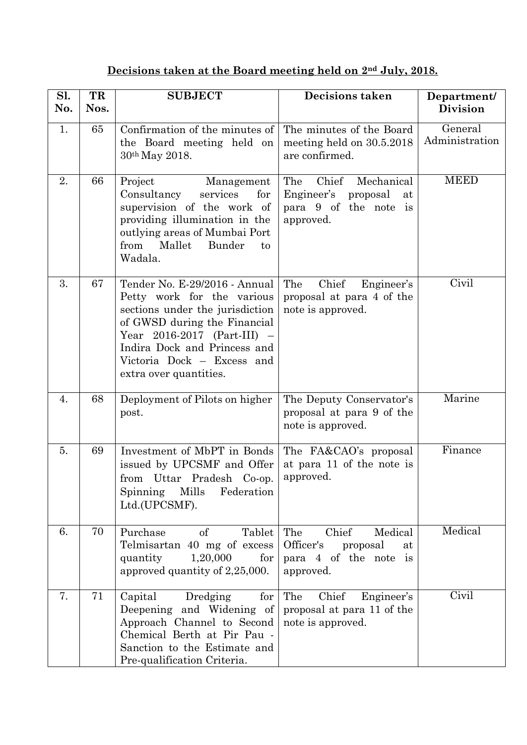## **Decisions taken at the Board meeting held on 2nd July, 2018.**

| Sl.<br>No. | TR<br>Nos. | <b>SUBJECT</b>                                                                                                                                                                                                                                          | <b>Decisions taken</b>                                                                        | Department/<br><b>Division</b> |
|------------|------------|---------------------------------------------------------------------------------------------------------------------------------------------------------------------------------------------------------------------------------------------------------|-----------------------------------------------------------------------------------------------|--------------------------------|
| 1.         | 65         | Confirmation of the minutes of<br>the Board meeting held on<br>30 <sup>th</sup> May 2018.                                                                                                                                                               | The minutes of the Board<br>meeting held on 30.5.2018<br>are confirmed.                       | General<br>Administration      |
| 2.         | 66         | Project<br>Management<br>Consultancy<br>services<br>for<br>supervision of the work of<br>providing illumination in the<br>outlying areas of Mumbai Port<br>from<br>Mallet<br>Bunder<br>to<br>Wadala.                                                    | Chief<br>Mechanical<br>The<br>Engineer's proposal<br>at<br>para 9 of the note is<br>approved. | <b>MEED</b>                    |
| 3.         | 67         | Tender No. E-29/2016 - Annual<br>Petty work for the various<br>sections under the jurisdiction<br>of GWSD during the Financial<br>Year $2016-2017$ (Part-III) -<br>Indira Dock and Princess and<br>Victoria Dock - Excess and<br>extra over quantities. | The<br>Chief<br>Engineer's<br>proposal at para 4 of the<br>note is approved.                  | $\overline{\text{Civil}}$      |
| 4.         | 68         | Deployment of Pilots on higher<br>post.                                                                                                                                                                                                                 | The Deputy Conservator's<br>proposal at para 9 of the<br>note is approved.                    | Marine                         |
| 5.         | 69         | Investment of MbPT in Bonds<br>issued by UPCSMF and Offer<br>from Uttar Pradesh Co-op.<br>Spinning Mills Federation<br>Ltd.(UPCSMF).                                                                                                                    | The FA&CAO's proposal<br>at para 11 of the note is<br>approved.                               | Finance                        |
| 6.         | 70         | Purchase<br>of<br>Tablet<br>Telmisartan 40 mg of excess<br>for<br>1,20,000<br>quantity<br>approved quantity of 2,25,000.                                                                                                                                | Chief<br>Medical<br>The<br>Officer's<br>proposal<br>at<br>para 4 of the note is<br>approved.  | Medical                        |
| 7.         | 71         | Dredging<br>Capital<br>for<br>Deepening and Widening of<br>Approach Channel to Second<br>Chemical Berth at Pir Pau -<br>Sanction to the Estimate and<br>Pre-qualification Criteria.                                                                     | The Chief<br>Engineer's<br>proposal at para 11 of the<br>note is approved.                    | Civil                          |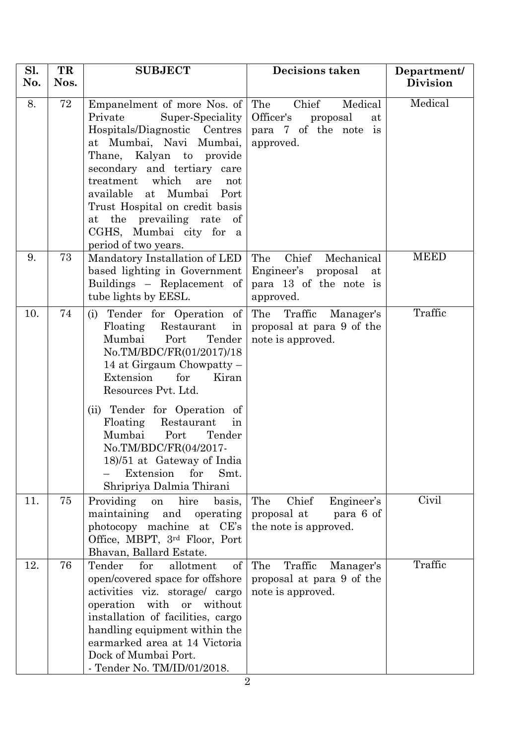| Sl.<br>No. | TR<br>Nos. | <b>SUBJECT</b>                                                                                                                                                                                                                                                                                                                                                                                                   | <b>Decisions taken</b>                                                                          | Department/<br><b>Division</b> |
|------------|------------|------------------------------------------------------------------------------------------------------------------------------------------------------------------------------------------------------------------------------------------------------------------------------------------------------------------------------------------------------------------------------------------------------------------|-------------------------------------------------------------------------------------------------|--------------------------------|
| 8.         | 72         | Empanelment of more Nos. of<br>Private<br>Super-Speciality<br>Hospitals/Diagnostic Centres<br>at Mumbai, Navi Mumbai,<br>Thane, Kalyan to provide<br>secondary and tertiary care<br>treatment which<br>are<br>not<br>available at<br>Mumbai Port<br>Trust Hospital on credit basis<br>at the prevailing rate<br>of<br>CGHS, Mumbai city for a<br>period of two years.                                            | The<br>Chief<br>Medical<br>Officer's<br>proposal<br>at<br>para 7 of the note is<br>approved.    | Medical                        |
| 9.         | 73         | Mandatory Installation of LED<br>based lighting in Government<br>Buildings - Replacement of<br>tube lights by EESL.                                                                                                                                                                                                                                                                                              | The<br>Chief<br>Mechanical<br>Engineer's proposal at<br>para 13 of the note is<br>approved.     | <b>MEED</b>                    |
| 10.        | 74         | (i) Tender for Operation of<br>Floating<br>Restaurant<br>in<br>Mumbai<br>Port<br>Tender<br>No.TM/BDC/FR(01/2017)/18<br>14 at Girgaum Chowpatty $-$<br>Extension<br>for<br>Kiran<br>Resources Pvt. Ltd.<br>(ii) Tender for Operation of<br>Floating<br>Restaurant<br>in<br>Mumbai<br>Port<br>Tender<br>No.TM/BDC/FR(04/2017-<br>18/51 at Gateway of India<br>Smt.<br>Extension<br>for<br>Shripriya Dalmia Thirani | The Traffic Manager's<br>proposal at para 9 of the<br>note is approved.                         | Traffic                        |
| 11.        | 75         | Providing<br>hire<br>basis,<br>on<br>maintaining<br>and<br>operating<br>photocopy machine at CE's<br>Office, MBPT, 3rd Floor, Port<br>Bhavan, Ballard Estate.                                                                                                                                                                                                                                                    | The<br>Chief<br>Engineer's<br>proposal at<br>para 6 of<br>the note is approved.                 | Civil                          |
| 12.        | 76         | Tender<br>for<br>allotment<br>of<br>open/covered space for offshore<br>activities viz. storage/ cargo<br>with<br>operation<br><b>or</b><br>without<br>installation of facilities, cargo<br>handling equipment within the<br>earmarked area at 14 Victoria<br>Dock of Mumbai Port.<br>- Tender No. TM/ID/01/2018.                                                                                                 | The<br>Traffic<br>Manager's<br>proposal at para 9 of the<br>note is approved.<br>$\overline{2}$ | Traffic                        |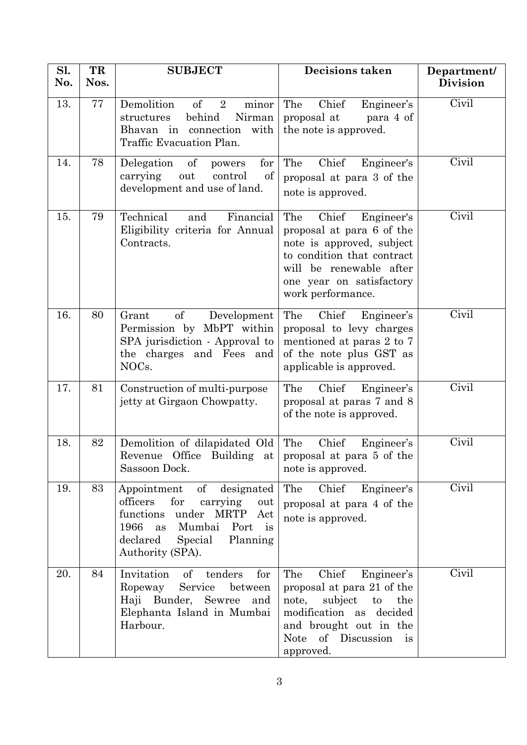| Sl.<br>No. | TR<br>Nos. | <b>SUBJECT</b>                                                                                                                                                               | Decisions taken                                                                                                                                                                                | Department/<br><b>Division</b> |
|------------|------------|------------------------------------------------------------------------------------------------------------------------------------------------------------------------------|------------------------------------------------------------------------------------------------------------------------------------------------------------------------------------------------|--------------------------------|
| 13.        | 77         | Demolition<br>of<br>$\overline{2}$<br>minor<br>behind<br>Nirman<br>structures<br>Bhavan in connection with<br>Traffic Evacuation Plan.                                       | The<br>Chief<br>Engineer's<br>proposal at<br>para 4 of<br>the note is approved.                                                                                                                | Civil                          |
| 14.        | 78         | Delegation<br>of<br>for<br>powers<br>out<br>of<br>carrying<br>control<br>development and use of land.                                                                        | The<br>Chief<br>Engineer's<br>proposal at para 3 of the<br>note is approved.                                                                                                                   | Civil                          |
| 15.        | 79         | Technical<br>Financial<br>and<br>Eligibility criteria for Annual<br>Contracts.                                                                                               | The<br>Chief<br>Engineer's<br>proposal at para 6 of the<br>note is approved, subject<br>to condition that contract<br>will be renewable after<br>one year on satisfactory<br>work performance. | Civil                          |
| 16.        | 80         | of<br>Development<br>Grant<br>Permission by MbPT within<br>SPA jurisdiction - Approval to<br>the charges and Fees and<br>NOCs.                                               | The<br>Chief<br>Engineer's<br>proposal to levy charges<br>mentioned at paras 2 to 7<br>of the note plus GST as<br>applicable is approved.                                                      | Civil                          |
| 17.        | 81         | Construction of multi-purpose<br>jetty at Girgaon Chowpatty.                                                                                                                 | Chief<br>The<br>Engineer's<br>proposal at paras 7 and 8<br>of the note is approved.                                                                                                            | Civil                          |
| 18.        | 82         | Demolition of dilapidated Old The<br>Revenue<br>Sassoon Dock.                                                                                                                | Chief<br>Engineer's<br>Office Building at proposal at para $5$ of the<br>note is approved.                                                                                                     | Civil                          |
| 19.        | 83         | Appointment<br>of designated<br>for<br>officers<br>carrying<br>out<br>functions under MRTP Act<br>1966 as Mumbai Port<br>is<br>declared Special Planning<br>Authority (SPA). | The<br>Chief Engineer's<br>proposal at para 4 of the<br>note is approved.                                                                                                                      | Civil                          |
| 20.        | 84         | Invitation of tenders<br>for<br>Service between<br>Ropeway<br>Haji Bunder, Sewree<br>and<br>Elephanta Island in Mumbai<br>Harbour.                                           | The<br>Chief<br>Engineer's<br>proposal at para 21 of the<br>note,<br>subject<br>the<br>to<br>modification as decided<br>and brought out in the<br>Note of Discussion is<br>approved.           | Civil                          |